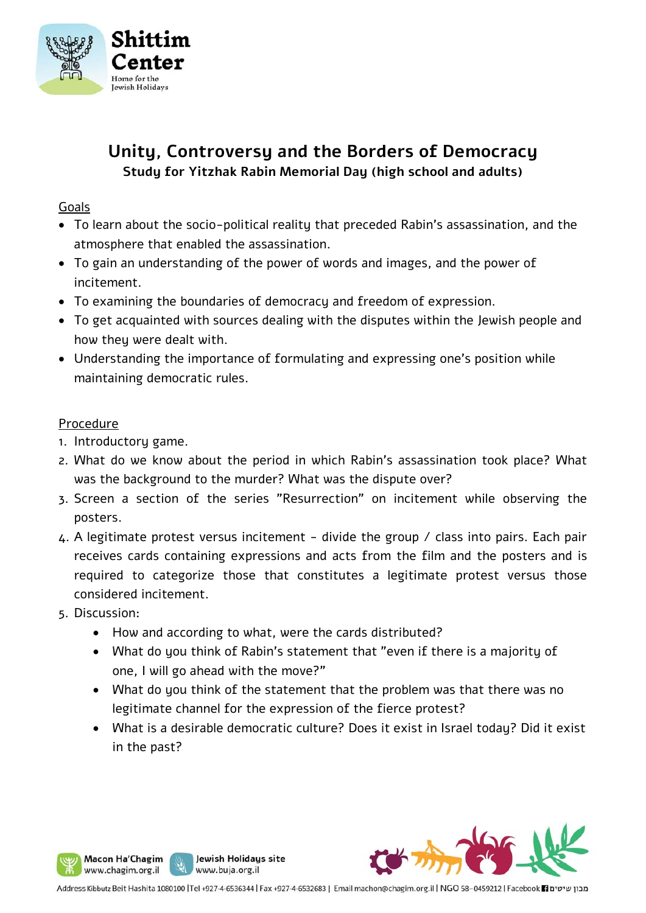

# **Unity, Controversy and the Borders of Democracy Study for Yitzhak Rabin Memorial Day (high school and adults)**

# Goals

- To learn about the socio-political reality that preceded Rabin's assassination, and the atmosphere that enabled the assassination.
- To gain an understanding of the power of words and images, and the power of incitement.
- To examining the boundaries of democracy and freedom of expression.
- To get acquainted with sources dealing with the disputes within the Jewish people and how they were dealt with.
- Understanding the importance of formulating and expressing one's position while maintaining democratic rules.

## Procedure

- 1. Introductory game.
- 2. What do we know about the period in which Rabin's assassination took place? What was the background to the murder? What was the dispute over?
- 3. Screen a section of the series "Resurrection" on incitement while observing the posters.
- 4. A legitimate protest versus incitement divide the group / class into pairs. Each pair receives cards containing expressions and acts from the film and the posters and is required to categorize those that constitutes a legitimate protest versus those considered incitement.
- 5. Discussion:
	- How and according to what, were the cards distributed?

Jewish Holidays site

www.buja.org.il

- What do you think of Rabin's statement that "even if there is a majority of one, I will go ahead with the move?"
- What do you think of the statement that the problem was that there was no legitimate channel for the expression of the fierce protest?
- What is a desirable democratic culture? Does it exist in Israel today? Did it exist in the past?

J ľ



Macon Ha'Chagim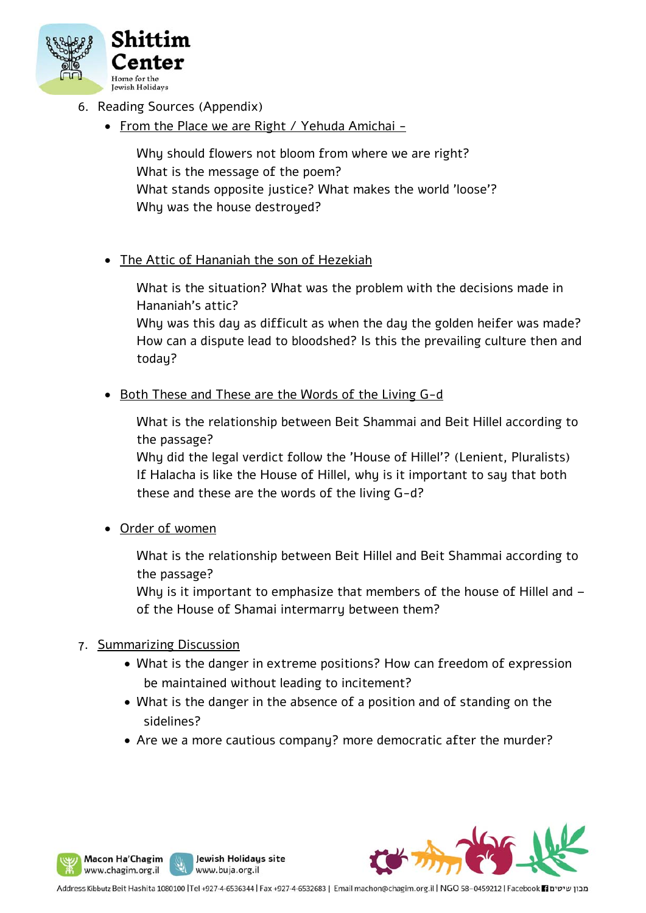

- 6. Reading Sources (Appendix)
	- From the Place we are Right / Yehuda Amichai -

Why should flowers not bloom from where we are right? What is the message of the poem? What stands opposite justice? What makes the world 'loose'? Why was the house destroyed?

## • The Attic of Hananiah the son of Hezekiah

What is the situation? What was the problem with the decisions made in Hananiah's attic?

Why was this day as difficult as when the day the golden heifer was made? How can a dispute lead to bloodshed? Is this the prevailing culture then and todau?

• Both These and These are the Words of the Living G-d

What is the relationship between Beit Shammai and Beit Hillel according to the passage?

Why did the legal verdict follow the 'House of Hillel'? (Lenient, Pluralists) If Halacha is like the House of Hillel, why is it important to say that both these and these are the words of the living G-d?

Order of women

What is the relationship between Beit Hillel and Beit Shammai according to the passage?

Why is it important to emphasize that members of the house of Hillel and of the House of Shamai intermarry between them?

#### 7. Summarizing Discussion

- What is the danger in extreme positions? How can freedom of expression be maintained without leading to incitement?
- What is the danger in the absence of a position and of standing on the sidelines?
- Are we a more cautious company? more democratic after the murder?

J ľ



Macon Ha'Chagim

www.chagim.org.il

Jewish Holidays site

www.buja.org.il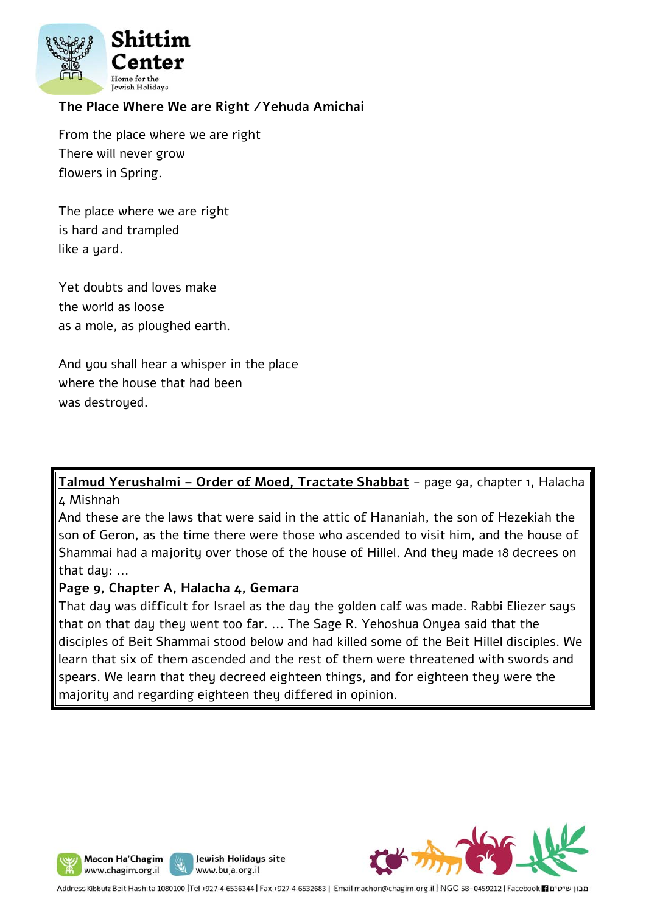

# **The Place Where We are Right /Yehuda Amichai**

From the place where we are right There will never grow flowers in Spring.

The place where we are right is hard and trampled like a yard.

Yet doubts and loves make the world as loose as a mole, as ploughed earth.

And you shall hear a whisper in the place where the house that had been was destroued.

**Talmud Yerushalmi – Order of Moed, Tractate Shabbat** - page 9a, chapter 1, Halacha 4 Mishnah

And these are the laws that were said in the attic of Hananiah, the son of Hezekiah the son of Geron, as the time there were those who ascended to visit him, and the house of Shammai had a majority over those of the house of Hillel. And they made 18 decrees on that dau: ...

#### **Page 9, Chapter A, Halacha 4, Gemara**

That day was difficult for Israel as the day the golden calf was made. Rabbi Eliezer says that on that day they went too far. ... The Sage R. Yehoshua Onyea said that the disciples of Beit Shammai stood below and had killed some of the Beit Hillel disciples. We learn that six of them ascended and the rest of them were threatened with swords and spears. We learn that they decreed eighteen things, and for eighteen they were the majority and regarding eighteen they differed in opinion.